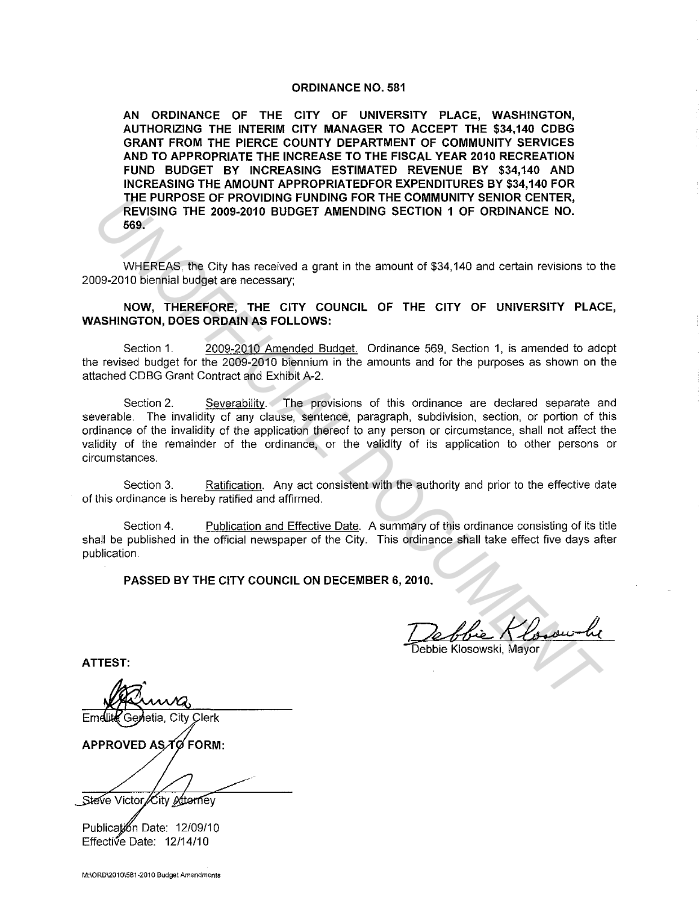#### **ORDINANCE NO. 581**

**AN ORDINANCE OF THE CITY OF UNIVERSITY PLACE, WASHINGTON, AUTHORIZING THE INTERIM CITY MANAGER TO ACCEPT THE \$34,140 CDBG GRANT FROM THE PIERCE COUNTY DEPARTMENT OF COMMUNITY SERVICES AND TO APPROPRIATE THE INCREASE TO THE FISCAL YEAR 2010 RECREATION FUND BUDGET BY INCREASING ESTIMATED REVENUE BY \$34,140 AND INCREASING THE AMOUNT APPROPRIATEDFOR EXPENDITURES BY \$34,140 FOR THE PURPOSE OF PROVIDING FUNDING FOR THE COMMUNITY SENIOR CENTER, REVISING THE 2009-2010 BUDGET AMENDING SECTION 1 OF ORDINANCE NO. 569.** 

WHEREAS, the City has received a grant in the amount of \$34, 140 and certain revisions to the 2009-2010 biennial budget are necessary;

# **NOW, THEREFORE, THE CITY COUNCIL OF THE CITY OF UNIVERSITY PLACE, WASHINGTON, DOES ORDAIN AS FOLLOWS:**

Section 1. 2009-2010 Amended Budget. Ordinance 569, Section 1, is amended to adopt the revised budget for the 2009-2010 biennium in the amounts and for the purposes as shown on the attached CDBG Grant Contract and Exhibit A-2.

Section 2. Severability. The provisions of this ordinance are declared separate and severable. The invalidity of any clause, sentence, paragraph, subdivision, section, or portion of this ordinance of the invalidity of the application thereof to any person or circumstance, shall not affect the validity of the remainder of the ordinance, or the validity of its application to other persons or circumstances. THE PURPROSE OF PROVIDING FUNDING FOR THE COMMUNITY SENIOR CENTER,<br>*BEVISING THE 2009-2010 BUDGET AMENDING SECTION 1 OF ORDINANCE NO.*<br> *WHEREAS, the City has received a grant in the amount of \$34.140 and certain revisions* 

Section 3. Ratification. Any act consistent with the authority and prior to the effective date of this ordinance is hereby ratified and affirmed.

Section 4. Publication and Effective Date. A summary of this ordinance consisting of its title shall be published in the official newspaper of the City. This ordinance shall take effect five days after publication.

**PASSED BY THE CITY COUNCIL ON DECEMBER 6, 2010.** 

Debbie Klowowke

Debbie Klosowski, Mayor

**ATTEST:** 

Emelü ietia, Citv Clerk

APPROVED AS TO FORM:

Steve Victor City Attorney

Publication Date: 12/09/10 Effective Date: 12/14/10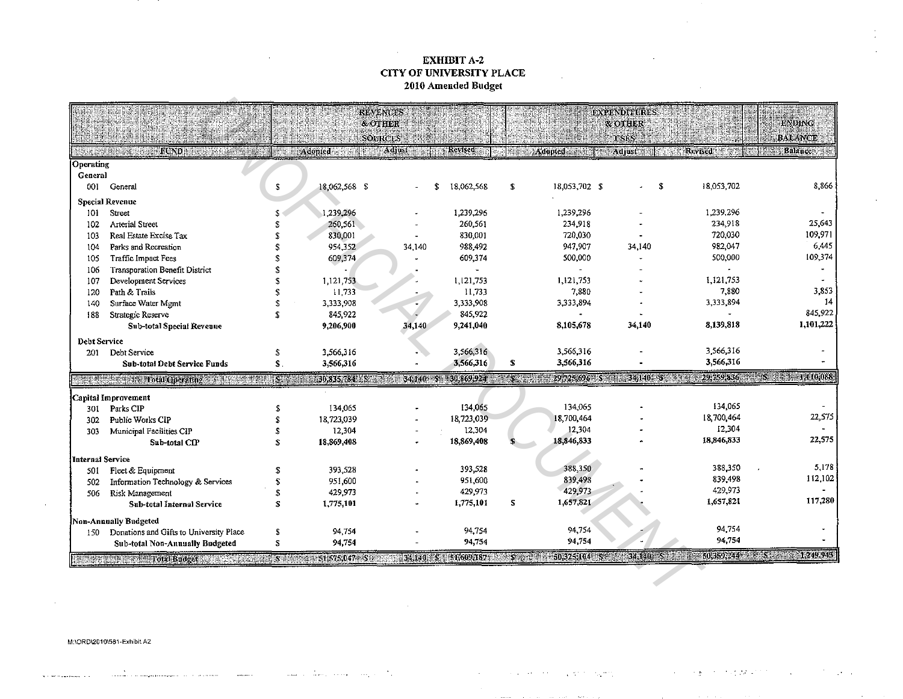# EXHIBIT A-2 CITY OF UNIVERSITY PLACE 2010 Amended Budget

|                         |                                                    |                    |                                                           | <b>REVENUES</b><br><b>&amp; OTHER</b> |                     |                    |                       | <b>EXPENDITURES</b><br>& OTHER |                                                                          | <b>ENDING</b>                      |
|-------------------------|----------------------------------------------------|--------------------|-----------------------------------------------------------|---------------------------------------|---------------------|--------------------|-----------------------|--------------------------------|--------------------------------------------------------------------------|------------------------------------|
|                         |                                                    |                    |                                                           | SOURCES                               |                     |                    |                       | USES:                          |                                                                          | <b>BALANCE</b>                     |
|                         | <b>FUND EXISTENT</b><br>makal Manarat aks          |                    | Adopted and                                               | <b>Andrew Adjust</b>                  | <b>Revised</b>      |                    | Adopted <b>Market</b> | <b>Adjust</b>                  | Revised <b>Million</b>                                                   | Balance                            |
| Operating               |                                                    |                    |                                                           |                                       |                     |                    |                       |                                |                                                                          |                                    |
| General                 |                                                    |                    |                                                           |                                       |                     |                    |                       |                                |                                                                          |                                    |
| 001                     | General                                            | s                  | 18,062,568 \$                                             |                                       | 18.062.568<br>\$    | \$                 | 18,053,702 \$         | S                              | 18,053,702                                                               | 8,866                              |
|                         | Special Revenue                                    |                    |                                                           |                                       |                     |                    |                       |                                |                                                                          |                                    |
| 101                     | Street                                             | S                  | 1,239,296                                                 |                                       | 1,239,296           |                    | 1.239,296             |                                | 1,239,296                                                                |                                    |
| 102                     | <b>Arterial Street</b>                             | <sup>\$</sup>      | 260,561                                                   |                                       | 260,561             |                    | 234,918               |                                | 234,918                                                                  | 25,643                             |
| 103                     | Real Estate Excise Tax                             | $\mathbf S$        | 830,001                                                   |                                       | 830,001             |                    | 720,030               |                                | 720,030                                                                  | 109,971                            |
| 104                     | Parks and Recreation                               | \$.                | 954,352                                                   | 34,140                                | 988,492             |                    | 947,907               | 34,140                         | 982,047                                                                  | 6.445                              |
| 105                     | Traffic Impact Fees                                | \$                 | 609,374                                                   |                                       | 609,374             |                    | 500,000               |                                | 500,000                                                                  | 109,374                            |
| 106                     | Transporation Benefit District                     | \$                 |                                                           |                                       |                     |                    |                       |                                |                                                                          |                                    |
| 107                     | Development Services                               | \$                 | 1,121,753                                                 |                                       | 1,121,753           |                    | 1,121,753             |                                | 1,121,753                                                                |                                    |
| 120                     | Path & Trails                                      | \$                 | 11,733                                                    |                                       | 11,733              |                    | 7,880                 |                                | 7,880                                                                    | 3,853                              |
| 140                     | Surface Water Mgmt                                 | \$                 | 3,333,908                                                 |                                       | 3,333,908           |                    | 3,333,894             |                                | 3,333,894                                                                | 14                                 |
| 188                     | Strategic Reserve                                  | £                  | 845,922                                                   |                                       | 845,922             |                    |                       |                                |                                                                          | 845.922                            |
|                         | <b>Sub-total Special Revenue</b>                   |                    | 9,206,900                                                 | 34,140                                | 9,241,040           |                    | 8,105,678             | 34,140                         | 8,139,818                                                                | 1,101,222                          |
| <b>Debt Service</b>     |                                                    |                    |                                                           |                                       |                     |                    |                       |                                |                                                                          |                                    |
| 201                     | Debt Service                                       | \$                 | 3,566,316                                                 |                                       | 3,566,316           |                    | 3,566,316             |                                | 3,566,316                                                                |                                    |
|                         | <b>Sub-total Debt Service Funds</b>                | S.                 | 3,566,316                                                 |                                       | 3,566,316           | s.                 | 3,566,316             |                                | 3,566,316                                                                |                                    |
|                         | <b>TERMINIAN AND ALLOCATIVE AND ARRESTS TO ALL</b> |                    | KSIM INTERESSES AS IN SECRETARIES AN AO 25 EU 360 E 23 IE |                                       |                     | <b>SANKS SEEMA</b> | 29.725.696            | 19634140 \$33.00               |                                                                          | 20159,836 11: 15 13 14: 14: 10:088 |
|                         | Capital Improvement                                |                    |                                                           |                                       |                     |                    |                       |                                |                                                                          |                                    |
| 301                     | Parks CIP                                          | \$                 | 134,065                                                   |                                       | 134,065             |                    | 134,065               |                                | 134,065                                                                  |                                    |
| 302                     | Public Works CIP                                   | \$                 | 18,723,039                                                |                                       | 18,723,039          |                    | 18,700,464            |                                | 18,700,464                                                               | 22,575                             |
| 303                     | Municipal Facilities CIP                           | 3                  | 12,304                                                    |                                       | 12,304              |                    | 12,304                |                                | 12,304                                                                   |                                    |
|                         | Sub-total CIP                                      | S                  | 18,869,408                                                |                                       | 18,869,408          |                    | 18,846,833            |                                | 18,846,833                                                               | 22,575                             |
| <b>Internal Service</b> |                                                    |                    |                                                           |                                       |                     |                    |                       |                                |                                                                          |                                    |
| 501                     | Fleet & Equipment                                  | \$                 | 393,528                                                   |                                       | 393,528             |                    | 388,350               |                                | 388.350                                                                  | 5.178                              |
| 502                     | Information Technology & Services                  | $\pmb{\mathbb{S}}$ | 951,600                                                   |                                       | 951,600             |                    | 839,498               |                                | 839 498                                                                  | 112,102                            |
| 506                     | Risk Management                                    | $\boldsymbol{3}$   | 429.973                                                   |                                       | 429,973             |                    | 429,973               |                                | 429,973                                                                  | $\sim$                             |
|                         | Sub-total Internal Service                         | $\mathbf{s}$       | 1,775,101                                                 |                                       | 1,775,101           | s                  | 1,657,821             |                                | 1,657,821                                                                | 117,280                            |
|                         | Non-Annually Budgeted                              |                    |                                                           |                                       |                     |                    |                       |                                |                                                                          |                                    |
| 150                     | Donations and Gifts to University Place            | S                  | 94,754                                                    |                                       | 94,754              |                    | 94,754                |                                | 94 754                                                                   |                                    |
|                         | Sub-total Non-Annually Budgeted                    | s                  | 94,754                                                    |                                       | 94,754              |                    | 94,754                |                                | 94.754                                                                   |                                    |
|                         |                                                    |                    |                                                           |                                       | 34140 88 51,602,187 |                    |                       |                                | STILL AND S0.325104 US ENERGIA 140 USE PRIMILES 60.359.244 WALES PARTIES | HIR IS ZE                          |
|                         |                                                    |                    |                                                           |                                       |                     |                    |                       |                                |                                                                          |                                    |
|                         |                                                    |                    |                                                           |                                       |                     |                    |                       |                                |                                                                          |                                    |
|                         |                                                    |                    |                                                           |                                       |                     |                    |                       |                                |                                                                          |                                    |
|                         |                                                    |                    |                                                           |                                       |                     |                    |                       |                                |                                                                          |                                    |

 $\label{eq:2.1} \mathcal{L}^{\mathcal{A}}(\mathcal{A})=\mathcal{L}^{\mathcal{A}}(\mathcal{B})=\mathcal{L}^{\mathcal{A}}(\mathcal{A})\mathcal{L}^{\mathcal{A}}(\mathcal{A}^{\mathcal{A}})^{2}=\mathcal{L}^{\mathcal{A}}(\mathcal{A})\mathcal{L}^{\mathcal{A}}(\mathcal{A}^{\mathcal{A}})^{2}$ 

#### M:IOR D\2010\581-Exhibit AZ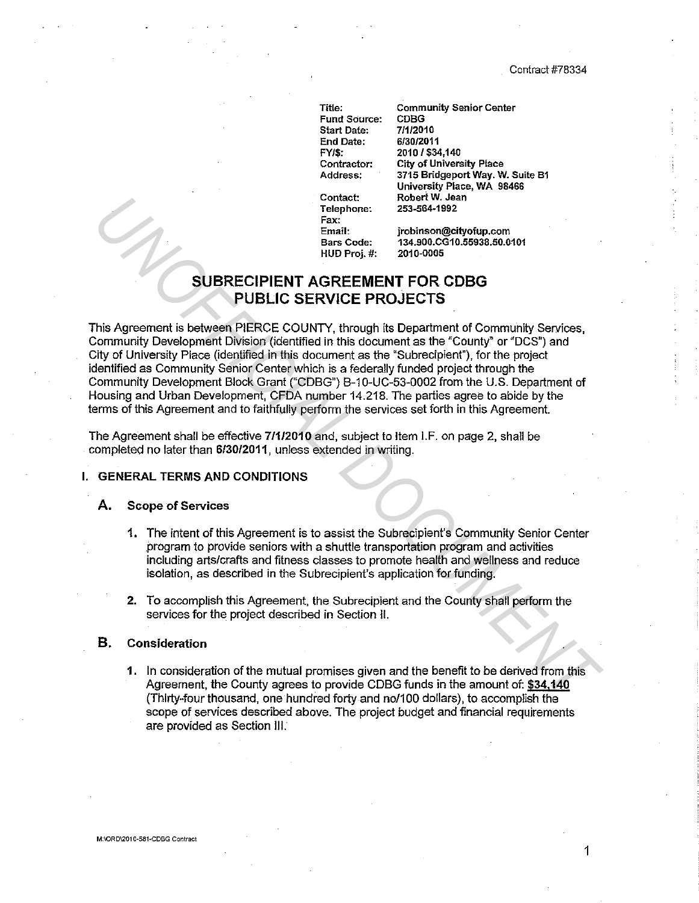Contract #78334

**Title: Fund source:**  Start Date: End Date: FY/\$: **Contractor:**  Address:

**Community Senior Center**  CDBG 7/1/2010 6/30/2011 2010 I \$34,140 City of University Place 3715 Bridgeport Way. W. Suite 81 University Place, WA 98466 Robert W. Jean 253-564-1992

**Telephone: Fax: Email: Bars Code:**  HUD Proj.#:

**Contact:** 

**jrobinson@cityofup.com**  134.900.CG10.55938.50.0101 2010-0005

# **SUBRECIPIENT AGREEMENT FOR CDBG PUBLIC SERVICE PROJECTS**

This Agreement is between PIERCE COUNTY, through its Department of Community Services, Community Development Division (identified in this document as the "County" or "DCS") and City of University Place (identified in this document as the "Subrecipient"), for the project identified as Community Senior Center which is a federally funded project through the Community Development Block Grant ("CDBG") B-1 O-UC-53-0002 from the U.S. Department of Housing and Urban Development, CFDA number 14.218. The parties agree to abide by the tenms of this Agreement and to faithfully perform the services set forth in this Agreement. Contact: The mail of the mail of the state of the state of the state of the state of the state of the state of the property of the control of the main control of the property of the PIBILIC SERVICE PROJECTS<br>
This Agreement

The Agreement shall be effective 7/1/2010 and, subject to Item l.F. on page 2, shall be completed no later than 613012011, unless extended in writing.

# I. GENERAL TERMS AND CONDITIONS

# A. Scope of Services

- 1. The intent of this Agreement is to assist the Subrecipient's Community Senior Center program to provide seniors with a shuttle transportation program and activities including arts/crafts and fitness classes to promote health and wellness and reduce isolation, as described in the Subrecipient's application for funding.
- 2. To accomplish this Agreement, the Subrecipient and the County shall perform the services for the project described in Section II.

### **B.** Consideration

1. In consideration of the mutual promises given and the benefit to be derived from this Agreement, the County agrees to provide CDBG funds in the amount of: \$34, 140 (Thirty-four thousand, one· hundred forty and no/100 dollars), to accomplish the scope of services described above. The project budget and financial requirements are provided as Section 111.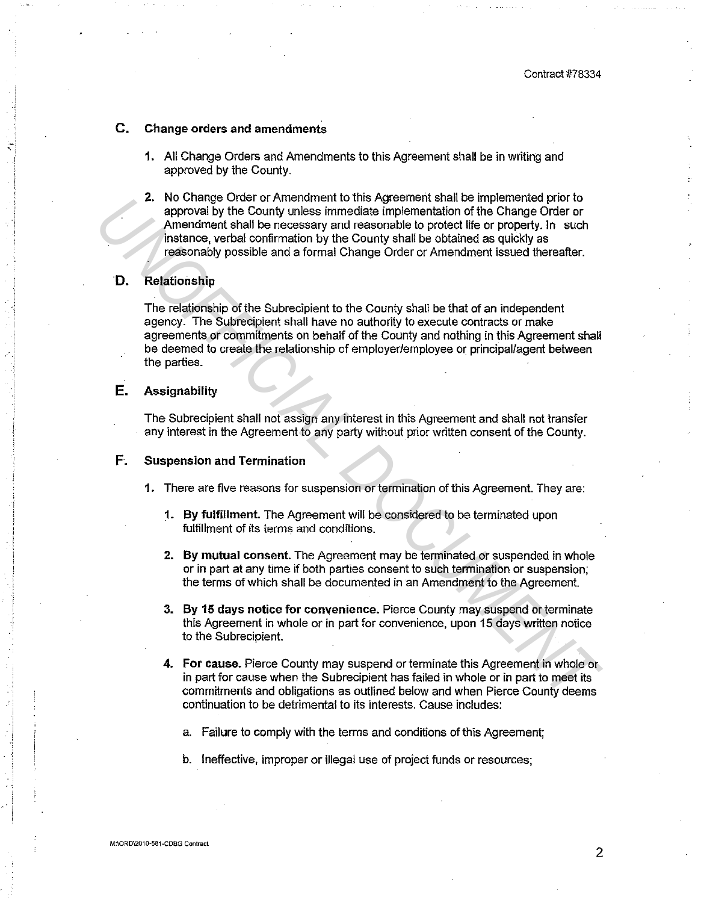# **C. Change orders and amendments**

- **1.** All Change Orders and Amendments to this Agreement shall be in writing and approved by the County.
- **2.** No Change Order or Amendment to this Agreement shall be implemented prior to approval by the County unless immediate implementation of the Change Order or Amendment shall be necessary and reasonable to protect life or property. In such instance, verbal confirmation by the County shall be obtained as quickly as reasonably possible and a formal Change Order or Amendment issued thereafter.

# **D. Relationship**

The relationship of the Subrecipient to the County shall be that of an independent agency. The Subrecipient shall have no authority to execute contracts or make agreements or commitments on behalf of the County and nothing in this Agreement shall be deemed to create the relationship of employer/employee or principal/agent between the parties. For Catalog Crost of Cameronian to the Systement state to the Cameronian of the Change Driver or Amendment that like necessary and research the inclusion of the Change Order or Amendment chall be not countly shall be obtai

# **E. Assignability**

The Subrecipient shall not assign any interest in this Agreement and shall not transfer any interest in the Agreement to any party without prior written consent of the County.

# **F. Suspension and Termination**

- **1.** There are five reasons for suspension or termination of this Agreement. They are:
	- **1. By fulfillment.** The Agreement will be considered to be terminated upon fulfillment of its terms and conditions.
	- **2. By mutual consent.** The Agreement may be terminated or suspended in whole or in part at any time if both parties consent to such tenmination or suspension; the terms of which shall be documented in an Amendment to the Agreement.
	- **3. By 15 days notice for convenience.** Pierce County may suspend or terminate this Agreement in whole or in part for convenience, upon 15 days written notice to the Subrecipient.
	- **4. For cause.** Pierce County may suspend or terminate this Agreement in whole or in part for cause when the Subrecipient has failed in whole or in part to meet its commitments and obligations as outlined below and when Pierce County deems continuation to be detrimental to its interests. Cause includes:
		- a. Failure to comply with the terms and conditions of this Agreement;
		- b. Ineffective, improper or illegal use of project funds or resources;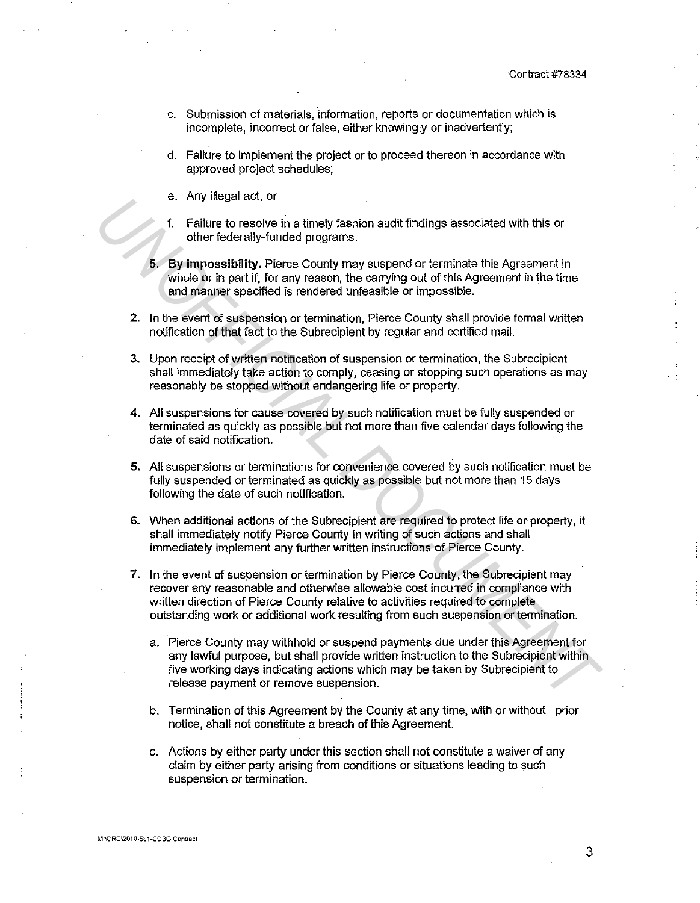- c. Submission of materials, information, reports or documentation which is incomplete, incorrect or false, either knowingly or inadvertently;
- d. Failure to implement the project or to proceed thereon in accordance with approved project schedules;
- e. Any illegal act; or
- f. Failure to resolve in a timely fashion audit findings associated with this or other federally-funded programs.
- 5. By impossibility. Pierce County may suspend or terminate this Agreement in whole or in part if, for any reason, the carrying out of this Agreement in the time and manner specified is rendered unfeasible or impossible.
- 2. In the event of suspension or termination, Pierce County shall provide formal written notification of that fact to the Subrecipient by regular and certified mail.
- 3. Upon receipt of written notification of suspension or termination, the Subrecipient shall immediately take action to comply, ceasing or stopping such operations as may reasonably be stopped without endangering life or property.
- 4. All suspensions for cause covered by such notification must be fully suspended or terminated as quickly as possible but not more than five calendar days following the date of said notification.
- 5. All suspensions or terminations for convenience covered by such notification must be fully suspended or terminated as quickly as possible but not more than 15 days following the date of such notification.
- 6. When additional actions of the Subrecipient are required to protect life or property, it shall immediately notify Pierce County in writing of such actions and shall immediately implement any further written instructions of Pierce County.
- 7. In the event of suspension or termination by Pierce County, the Subrecipient may recover any reasonable and otherwise allowable cost incurred in compiiance with written direction of Pierce County relative to activities required to complete outstanding work or additional work resulting from such suspension or termination. **E.** Any linegal act, or<br> **I.** Faller to resolve in a timely fashion audit findings associated with this or<br>
other federally-funded programs.<br> **B.** By impossibility. Pierce County may suspend or terminate this Agreement i
	- a. Pierce County may withhold or suspend payments due under this Agreement for any lawful purpose, but shall provide written instruction to the Subrecipient within five working days indicating actions which may be taken by Subrecipient to release payment or remove suspension.
	- b. Termination of this Agreement by the County at any time, with or without prior notice, shall not constitute a breach of this Agreement.
	- c. Actions by either party under this section shall not constitute a waiver of any claim by either party arising from conditions or situations leading to such suspension or termination.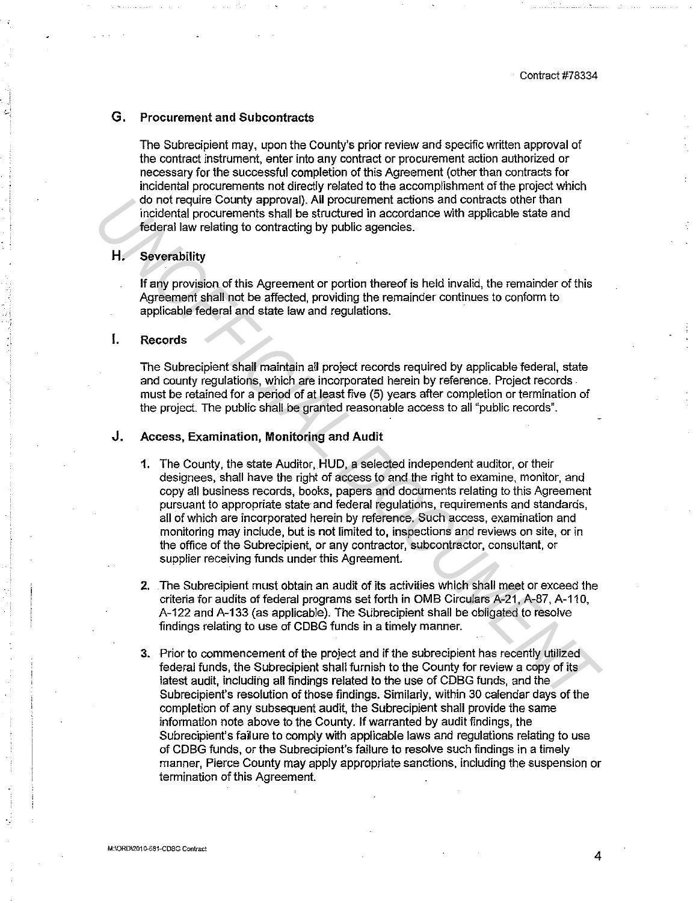### G. Procurement and Subcontracts

The Subrecipient may, upon the County's prior review and specific written approval of the contract instrument, enter into any contract or procurement action authorized or necessary for the successful completion of this Agreement (other than contracts for incidental procurements not directly related to the accomplishment of the project which do not require County approval). All procurement actions and contracts other than incidental procurements shall be structured in accordance with applicable state and federal law relating to contracting by public agencies.

# H. Severability

If any provision of this Agreement or portion thereof is held invalid, the remainder of this Agreement shall not be affected, providing the remainder continues to conform to applicable federal and state law and regulations.

# I. Records

The Subrecipient shall maintain all project records required by applicable federal, state and county regulations, which are incorporated herein by reference. Project records must be retained for a period of at least five (5) years after completion or termination of the project. The public shall be granted reasonable access to all "public records".

# J. Access, Examination, Monitoring and Audit

- 1. The County, the state Auditor, HUD, a selected independent auditor, or their designees, shall have the right of access to and the right to examine, monitor, and copy all business records, books, papers and documents relating to this Agreement pursuant to appropriate state and federal regulations, requirements and standards, all of which are incorporated herein by reference. Such access, examination and monitoring may include, but is not limited to, inspections and reviews on site, or in the office of the Subrecipient, or any contractor, subcontractor, consultant, or supplier receiving funds under this Agreement. do not require County approval). All procurement actions and contracts of the final methods and the substituted in accordance with applicable state and<br>federal law relating to contracting by public agencies.<br> **H.** Severabi
	- 2. The Subrecipient must obtain an audit of its activities which shall meet or exceed the criteria for audits of federal programs set forth in OMB Circulars A-21, A-87, A-110, A-122 and A-133 (as applicable). The Subrecipient shall be obligated to resolve findings relating to use of CDBG funds in a timely manner.
	- 3. Prior to commencement of the project and if the subrecipient has recently utilized federal funds, the Subrecipient shall furnish to the County for review a copy of its latest audit, including all findings related to the use of CDBG funds, and the Subrecipient's resolution of those findings. Similarly, within 30 calendar days of the completion of any subsequent audit, the Subrecipient shall provide the same information note above to the County. If warranted by audit findings, the Subrecipient's failure to comply with applicable laws and regulations relating to use of CDBG funds, or the Subrecipient's failure to resolve such findings in a timely manner, Pierce County may apply appropriate sanctions, including the suspension or termination of this Agreement.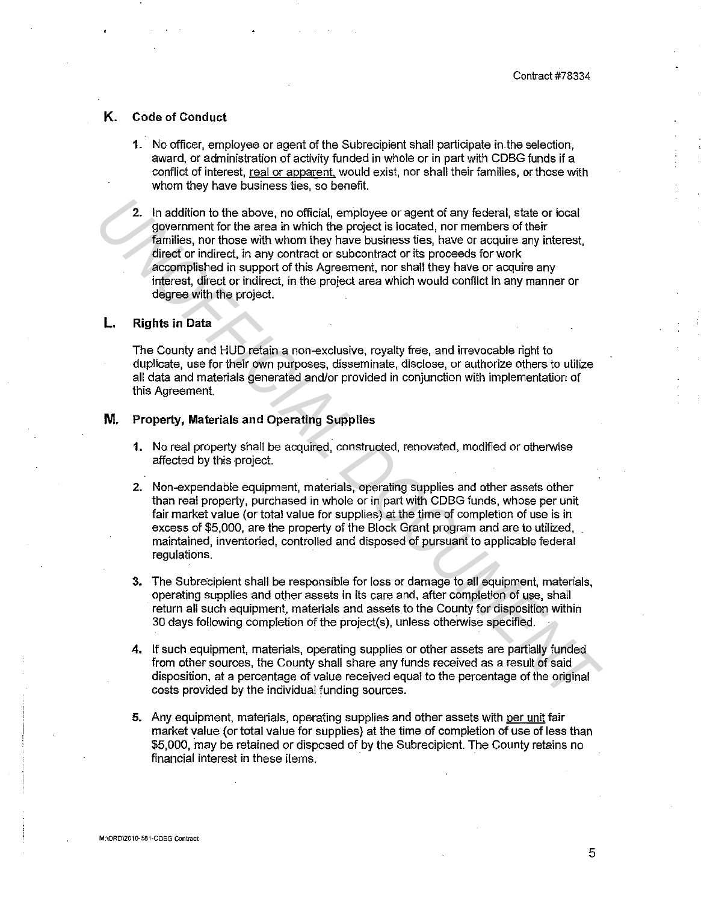# K. Code of Conduct

1. No officer, employee or agent of the Subrecipient shall participate in.the selection, award, or administration of activity funded in whole or in part with CDBG funds if a conflict of interest, real or apparent, would exist, nor shall their families, or those with whom they have business ties, so benefit,

2. In addition to the above, no official, employee or agent of any federal, state or local government for the area in which the project is located, nor members of their families, nor those with whom they have business ties, have or acquire any interest, direct or indirect, in any contract or subcontract or its proceeds for work accomplished in support of this Agreement, nor shall they have or acquire any interest, dfrect or indirect, in the project area which would conflict in any manner or degree with the project. For the matrix of the above, no official, employee or agent of any federal, state or local government of the area in which the project is located, nor members of their completed, in any ontrod to the members of their conte

#### L. Rights in Data

The County and HUD retain a non-exclusive, royalty free, and irrevocable right to duplicate, use for their own purposes, disseminate, disclose, or authorize others to utilize all data and materials generated and/or provided in conjunction with implementation of this Agreement,

# M. Property, Materials and Operating Supplies

- 1. No real property shall be acquired, constructed, renovated, modified or otherwise affected by this project.
- 2. Non-expendable equipment, materials, operating supplies and other assets other than real property, purchased in whole or in part with CDBG funds, whose per unit fair market value (or total value for supplies) at the time of completion of use is in excess of \$5,000, are the property of the Block Grant program and are to utilized, maintained, inventoried, controlled and disposed of pursuant to applicable federal regulations.
- 3. The Subrecipient shall be responsible for loss or damage to all equipment, materials, operating supplies and other assets in its care and, after completion of use, shall return all such equipment, materials and assets to the County for disposition within 30 days following completion of the project(s), unless otherwise specified.
- 4. If such equipment, materials, operating supplies or other assets are partially funded from other sources, the County shall share any funds received as a result of said disposition, at a percentage of value received equal to the percentage of the original costs provided by the individual funding sources.
- 5. Any equipment, materials, operating supplies and other assets with per unit fair market value (or total value for supplies) at the time of completion of use of less than \$5,000, may be retained or disposed of by the Subrecipient, The County retains no financial interest in these items,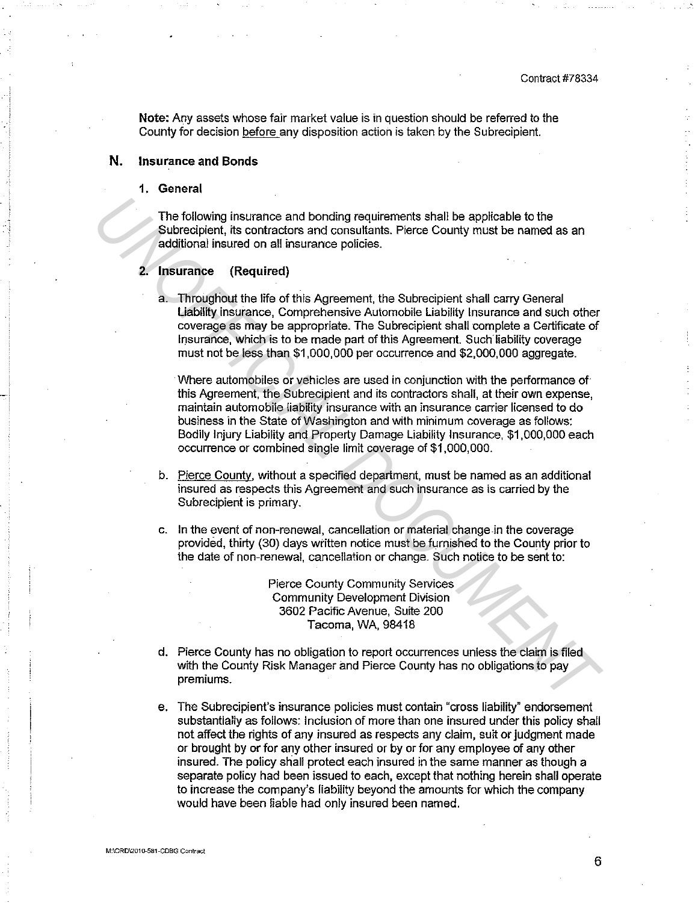Note: Any assets whose fair market value is in question should be referred to the County for decision before any disposition action is taken by the Subrecipient.

# N. Insurance and Bonds

### 1. General

The following insurance and bonding requirements shall be applicable to the Subrecipient, its contractors and consultants. Pierce County must be named as an additional insured on all insurance policies.

# 2. Insurance (Required)

Throughout the life of this Agreement, the Subrecipient shall carry General Liability insurance, Comprehensive Automobile Liability Insurance and such other coverage as may be appropriate. The Subrecipient shall complete a Certificate of Insurance, which is to be made part of this Agreement. Such-liability coverage must not be less than \$1,000,000 per occurrence and \$2,000,000 aggregate.

Where automobiles or vehicles are used in conjunction with the performance of this Agreement, the Subrecipient and its contractors shall, at their own expense, maintain automobile liability insurance with an insurance carrier licensed to do business in the State of Washington and with minimum coverage as follows: Bodily Injury Liability and Property Damage Liability Insurance, \$1,000,000 each occurrence or combined single limit coverage of \$1,000,000. The following insurance and bonding requirements shall be applicable to the<br> **Subtrepliers.** As contractors and consultants. Pierce Countly must be named as an<br>
additional insured on all insurance policies.<br> **2.** Insurance

- b. Pierce County. without a specified department. must be named as an additional insured as respects this Agreement and such insurance as is carried by the Subrecipient is primary.
- c. In the event of non-renewal, cancellation or material change in the coverage provided, thirty (30) days written notice must be furnished to the County prior to the date of non-renewal, cancellation or change. Such notice to be sent to:

Pierce County Community Services Community Development Division 3602 Pacific Avenue, Suite 200 Tacoma, WA, 98418

- d. Pierce County has no obligation to report occurrences unless the claim is filed with the County Risk Manager and Pierce County has no obligations to pay premiums.
- e. The Subrecipient's insurance policies must contain "cross liability" endorsement substantially as follows: Inclusion of more than one insured under this policy shall not affect the rights of any insured as respects any claim, suit or judgment made or brought by or for any other insured or by or for any employee of any other insured. The policy shall protect each insured in the same manner as though a separate policy had been issued to each, except that nothing herein shall operate to increase the company's liability beyond the amounts for which the company would have been liable had only insured been named.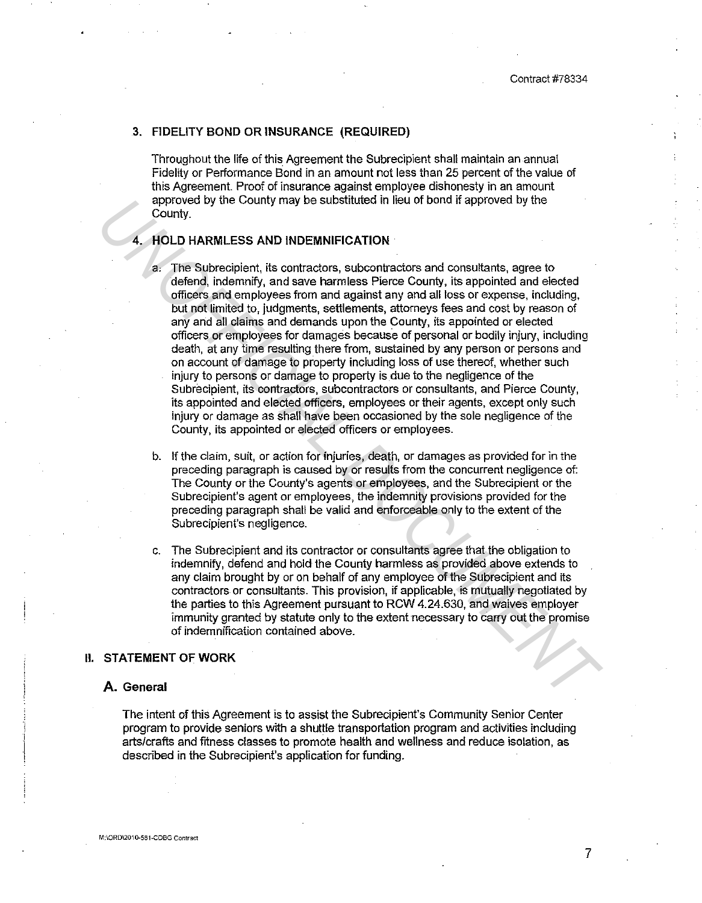### **3. FIDELITY BOND OR INSURANCE (REQUIRED)**

Throughout the life of this Agreement the Subrecipient shall maintain an annual Fidelity or Performance Bond in an amount not less than 25 percent of the value of this Agreement Proof of insurance against employee dishonesty in an amount approved by the County may be substituted in lieu of bond if approved by the County.

# **4. HOLD HARMLESS AND INDEMNIFICATION** ·

- a, The Subrecipient, its contractors, subcontractors and consultants, agree to defend, indemnify, and save harmless Pierce County, its appointed and elected officers and employees from and against any and all loss or expense, including, but not limited to, judgments, settlements, attorneys fees and cost by reason of any and all claims and demands upon the County, its appointed or elected officers or employees for damages because of personal or bodily injury, including death, at any time resulting there from, sustained by any person or persons and on account of damage to property including loss of use thereof, whether such injury to persons or damage to property is due to the negligence of the Subrecipient, its contractors, subcontractors or consultants, and Pierce County, its appointed and elected officers, employees or their agents, except only such injury or damage as shall have been occasioned by the sole negligence of the County, its appointed or elected officers or employees. **EVERT THE SURFALLESS AND INDEMINIFICATION**<br> **EVERT THE SURFALLESS AND INDEMINIFICATION**<br> **EVERT THE SURFALLESS AND INDEMINIFICATION**<br> **EVERT THE SURFALLESS AND INDEMINIFICATION**<br> **EVERT THE SURFALLESS AND INDEMINIFICATION** 
	- b. If the claim, suit, or action for injuries, death, or damages as provided for in the preceding paragraph is caused by or results from the concurrent negligence of: The County or the County's agents or employees, and the Subrecipient or the Subrecipient's agent or employees, the indemnity provisions provided for the preceding paragraph shall be valid and enforceable only to the extent of the Subrecipient's negligence.
	- c. The Subrecipient and its contractor or consultants agree that the obligation to indemnify, defend and hold the County harmless as provided above extends to any claim brought by or on behalf of any employee of the Subrecipient and its contractors or consultants. This provision, if applicable, is mutually negotiated by the parties to this Agreement pursuant to RCW 4.24.630, and waives employer immunity granted by statute only to the extent necessary to carry out the promise of indemnification contained above.

# **II. STATEMENT OF WORK**

### **A. General**

The intent of this Agreement is to assist the Subrecipient's Community Senior Center program to provide seniors with a shuttle transportation program and activities including arts/crafts and fitness classes to promote health and wellness and reduce isolation, as described in the Subrecipient's application for funding.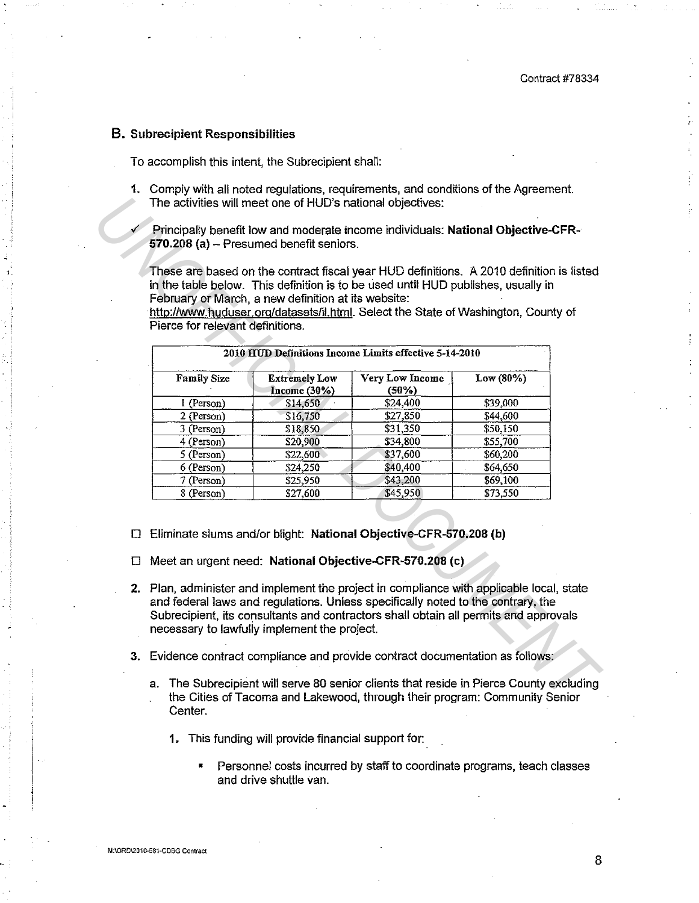# B. Subrecipient Responsibilities

To accomplish this intent, the Subrecipient shall:

1. Comply with all noted regulations, requirements, and conditions of the Agreement. The activities will meet one of HUD's national objectives:

| Pierce for relevant definitions. | February or March, a new definition at its website: | These are based on the contract fiscal year HUD definitions. A 2010 definition is listed<br>in the table below. This definition is to be used until HUD publishes, usually in<br>http://www.huduser.org/datasets/il.html. Select the State of Washington, County of |             |
|----------------------------------|-----------------------------------------------------|---------------------------------------------------------------------------------------------------------------------------------------------------------------------------------------------------------------------------------------------------------------------|-------------|
|                                  |                                                     | 2010 HUD Definitions Income Limits effective 5-14-2010                                                                                                                                                                                                              |             |
| <b>Family Size</b>               | <b>Extremely Low</b><br>Income (30%)                | Very Low Income<br>(50%)                                                                                                                                                                                                                                            | Low $(80%)$ |
| 1 (Person)                       | \$14,650                                            | \$24,400                                                                                                                                                                                                                                                            | \$39,000    |
| 2 (Person)                       | \$16,750                                            | \$27,850                                                                                                                                                                                                                                                            | \$44,600    |
| 3 (Person)                       | \$18,850                                            | \$31,350                                                                                                                                                                                                                                                            | \$50,150    |
| 4 (Person)                       | \$20,900                                            | \$34,800                                                                                                                                                                                                                                                            | \$55,700    |
| 5 (Person)                       | \$22,600                                            | \$37,600                                                                                                                                                                                                                                                            | \$60,200    |
| 6 (Person)                       | \$24,250                                            | \$40,400                                                                                                                                                                                                                                                            | \$64,650    |
| 7 (Person)                       | \$25,950                                            | \$43,200                                                                                                                                                                                                                                                            | \$69,100    |
| 8 (Person)                       | \$27,600                                            | \$45,950                                                                                                                                                                                                                                                            | \$73,550    |
| O.<br>⊡                          |                                                     | Eliminate slums and/or blight: National Objective-CFR-570.208 (b)<br>Meet an urgent need: National Objective-CFR-570.208 (c)<br>2. Plan, administer and implement the project in compliance with applicable local, state                                            |             |
|                                  | necessary to lawfully implement the project.        | and federal laws and regulations. Unless specifically noted to the contrary, the<br>Subrecipient, its consultants and contractors shall obtain all permits and approvals                                                                                            |             |

- 2, Plan, administer and implement the project in compliance with applicable local, state and federal laws and regulations. Unless specifically noted to the contrary, the Subrecipient, its consultants and contractors shall obtain all permits and approvals necessary to lawfully implement the project.
- 3. Evidence contract compliance and provide contract documentation as follows:
	- a. The Subrecipient will serve 80 senior clients that reside in Pierce County excluding the Cities of Tacoma and Lakewood, through their program: Community Senior Center.
		- 1. This funding will provide financial support for:
			- Personnel costs incurred by staff to coordinate programs, teach classes and drive shuttle van.

**I** I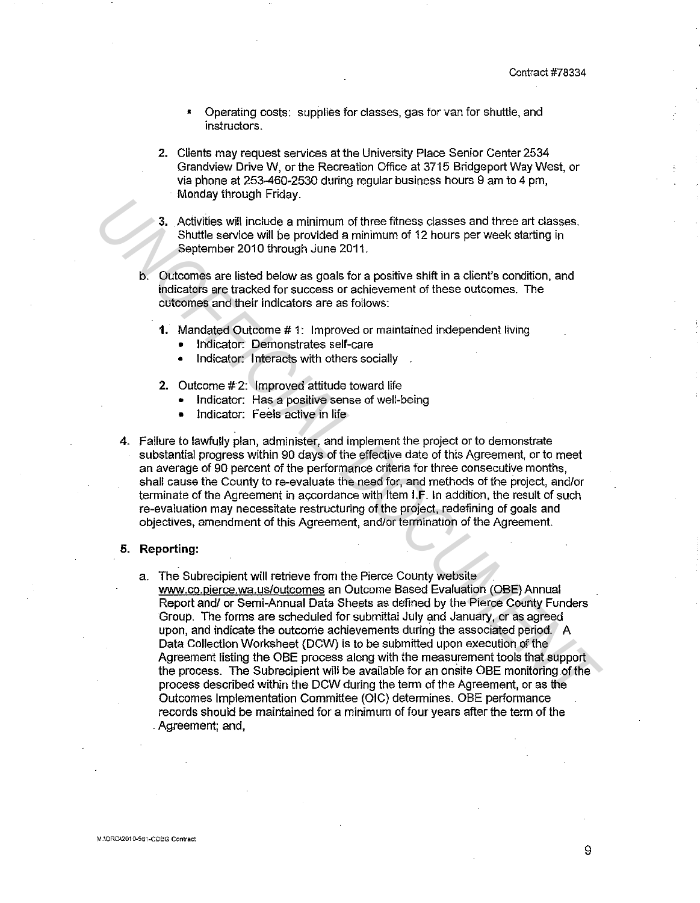- Operating costs: supplies for classes, gas for van for shuttle, and instructors.
- 2. Clients may request services at the University Place Senior Center 2534 Grandview Drive W, or the Recreation Office at 3715 Bridgeport Way West, or via phone at 253-460-2530 during regular business hours 9 am to 4 pm. · Monday through Friday.
- 3. Activities will include a minimum of three fitness classes and three art classes. Shuttle service will be provided a minimum of 12 hours per week starting in September 2010 through June 2011.
- b. Outcomes are listed below as goals for a positive shift in a client's condition, and indicators are tracked for success or achievement of these outcomes. The outcomes and their indicators are as follows:
	- **1.** Mandated Outcome # 1: Improved or maintained independent living
		- Indicator: Demonstrates self-care
		- Indicator: Interacts with others socially
	- 2. Outcome #2: Improved attitude toward life
		- Indicator: Has a positive sense of well-being
		- Indicator: Feels active in life
- 4. Failure to lawfully plan, administer, and implement the project or to demonstrate substantial progress within 90 days of the effective date of this Agreement, or to meet an average of 90 percent of the performance criteria for three consecutive months, shall cause the County to re-evaluate the need for, and methods of the project, and/or terminate of the Agreement in accordance with Item **l.F.** In addition, the result of such re-evaluation may necessitate restructuring of the project, redefining of goals and objectives, amendment of this Agreement, and/or termination of the Agreement.

#### **5. Reporting:**

a. The Subrecipient will retrieve from the Pierce County website

www.co.pierce.wa.us/outcomes an Outcome Based Evaluation (OBE) Annual Report and/ or Semi-Annual Data Sheets as defined by the Pierce County Funders Group. The forms are scheduled for submittal July and January, or as agreed upon, and indicate the outcome achievements during the associated period. A Data Collection Worksheet (DCW) is to be submitted upon execution of the Agreement listing the OBE process along with the measurement tools that support the process. The Subrecipient will be available for an onsite OBE monitoring of the process described within the DCW during the term of the Agreement, or as the Outcomes Implementation Committee (OIC) determines. OBE performance records should be maintained for a minimum of four years after the term of the . Agreement; and, **Example 19 and through a model of the fines classes and three at classes.**<br> **3.** Activities will not be provided a minimum of 12 hours per week starting in<br>
September 2010 through June 2011.<br> **b** Dutcomes are listed betwe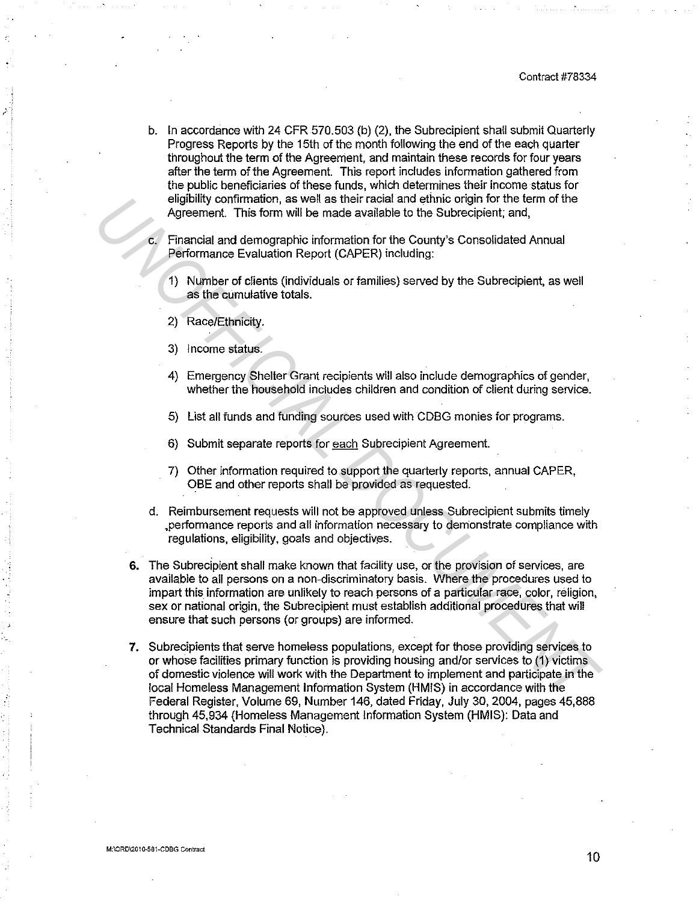b. In accordance with 24 CFR 570.503 (b) (2), the Subrecipient shall submit Quarterly Progress Reports by the 15th of the month following the end of the each quarter throughout the term of the Agreement, and maintain these records for four years after the term of the Agreement. This report includes information gathered from the public beneficiaries of these funds, which determines their income status for eligibility confirmation, as well as their racial and ethnic origin for the term of the Agreement. This form will be made available to the Subrecipient; and,

Financial and demographic information for the County's Consolidated Annual Performance Evaluation Report (CAPER) including:

- 1) Number of clients (individuals or families) served by the Subrecipient, as well as the cumulative totals.
- 2) Race/Ethnicity.
- 3) Income status.
- 4) Emergency Shelter Grant recipients will also include demographics of gender, whether the household includes children and condition of client during service.
- 5) List all funds and funding sources used with CDBG monies for programs.
- 6) Submit separate reports for each Subrecipient Agreement.
- 7) Other information required to support the quarterly reports, annual CAPER, OBE and other reports shall be provided as requested.
- d. Reimbursement requests will not be approved unless Subrecipient submits timely ,performance reports and all information necessary to demonstrate compliance with regulations, eligibility, goals and objectives.
- **6.** The Subrecipient shall make known that facility use, or the provision of services, are available to all persons on a non-discriminatory basis. Where the procedures used to impart this information are unlikely to reach persons of a particular race, color, religion, sex or national origin, the Subrecipient must establish additional procedures that will ensure that such persons (or groups) are informed. **Eightlifty confirmation, as well as their racial and elthinco cignin for the ferm of the subsection in the film of the County's Consolidated Annual<br>
<b>Partners Example To the County-** Consultate County's Consolidated Annua
	- **7.** Subrecipients that serve homeless populations, except for those providing services to or whose facilities primary function is providing housing and/or services to (1) victims of domestic violence will work with the Department lo implement and participate in the local Homeless Management Information System (HMIS) in accordance with the Federal Register, Volume 69, Number 146, dated Friday, July 30, 2004, pages 45,888 through 45,934 (Homeless Management Information System (HMIS): Data and Technical Standards Final Notice).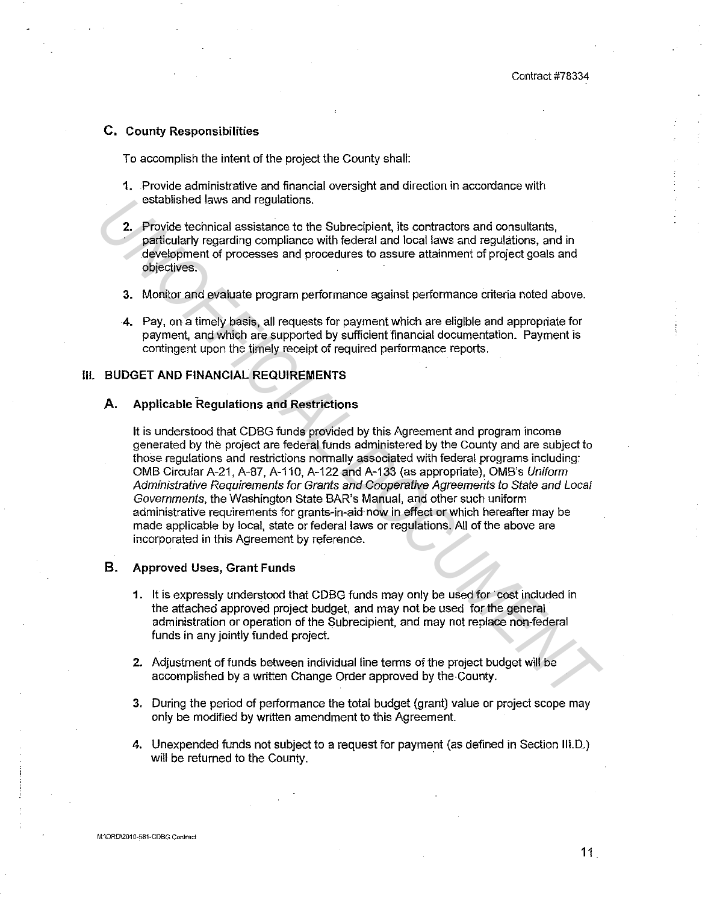### C. County Responsibilities

To accomplish the intent of the project the County shall:

- 1. Provide administrative and financial oversight and direction in accordance with established laws and regulations.
- 2. Provide technical assistance to the Subrecipient, its contractors and consultants, particularly regarding compliance with federal and local laws and regulations, and in development of processes and procedures to assure attainment of project goals and objectives.
- 3. Monitor and evaluate program performance against performance criteria noted above.
- 4. Pay, on a timely basis, all requests for payment which are eligible and appropriate for payment, and which are supported by sufficient financial documentation. Payment is contingent upon the timely receipt of required performance reports.

# Ill. BUDGET AND FINANCIAL REQUIREMENTS

### A. Applicable Regulations and Restrictions

It is understood that CDBG funds provided by this Agreement and program income generated by the project are federal funds administered by the County and are subject to those regulations and restrictions normally associated with federal programs including: OMB Circular A-21, A-87, A-110, A-122 and A-133 (as appropriate), OMB's Unifonn Administrative Requirements for Grants and Cooperative Agreements lo State and Local Governments, the Washington State BAR's Manual, and other such uniform administrative requirements for grants-in-aid now in effect or which hereafter may be made applicable by local, state or federal laws or regulations. All of the above are incorporated in this Agreement by reference. established laws and regulations.<br>
2. Provide technical assistance to the Subreciphont, its contractors and consultants,<br>
particularly regarding compliance with fecteral and local laws and regulations, and in<br>
development

# B. Approved Uses, Grant Funds

- 1. It is expressly understood that CDBG funds may only be used for cost included in the attached approved project budget, and may not be used for the general administration or operation of the Subrecipient, and may not replace non-federal funds in any jointly funded project.
- 2. Adjustment of funds between individual line terms of the project budget will be accomplished by a written Change Order approved by the-County.
- 3. During the period of performance the total budget (grant) value or project scope may only be modified by written amendment to this Agreement.
- 4. Unexpended funds not subject to a request for payment (as defined in Section III.D.) will be returned to the County.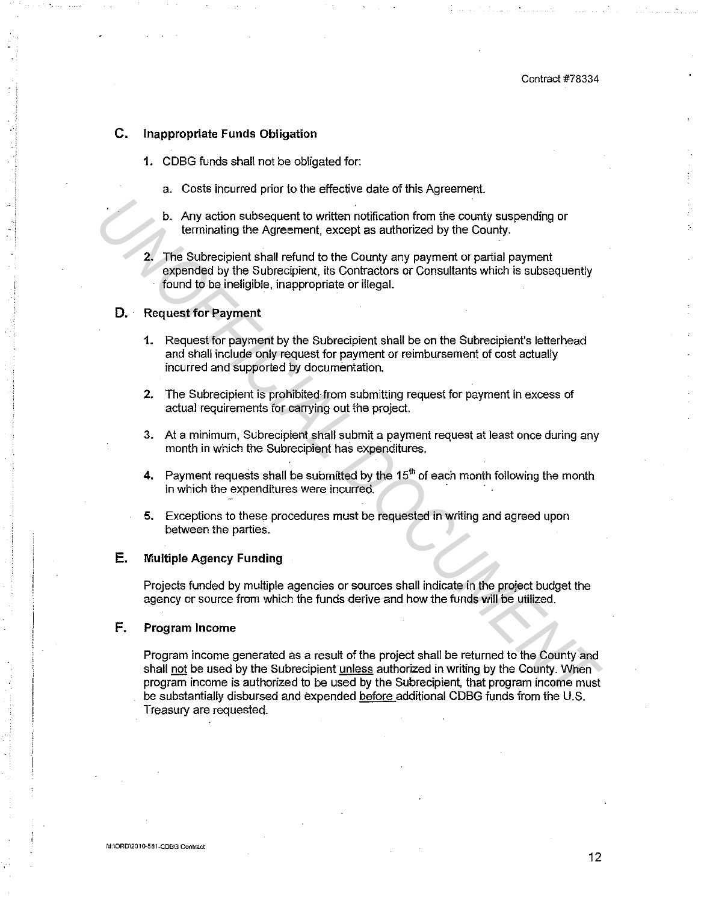### **C. Inappropriate Funds Obligation**

- **1.** CDBG funds shall not be obligated for:
	- a. Costs incurred prior to the effective date of this Agreement.
	- b. Any action subsequent to written notification from the county suspending or terminating the Agreement, except as authorized by the County.
- **2.** The Subrecipient shall refund to the County any payment or partial payment expended by the Subrecipient, its Contractors or Consultants which is subsequently found to be ineligible, inappropriate or illegal.

# **D. Request for Payment**

- **1.** Request for payment by the Subrecipient shall be on the Subrecipient's letterhead and shall include only request for payment or reimbursement of cost actually incurred and supported by documentation.
- **2.** The Subrecipient is prohibited from submitting request for payment in excess of actual requirements for carrying out the project.
- 3. At a minimum, Subrecipient shall submit a payment request at least once during any month in which the Subrecipient has expenditures.
- **4.** Payment requests shall be submitted by the 15'" of each month following the month in which the expenditures were incurred.
- **5.** Exceptions to these procedures must be requested in writing and agreed upon between the parties.

# **E. Multiple Agency Funding**

Projects funded by multiple agencies or sources shall indicate in the project budget the agency or source from which the funds derive and how the funds will be utilized.

# **F. Program Income**

Program income generated as a result of the project shall be returned to the County and shall not be used by the Subrecipient unless authorized in writing by the County. When program income is authorized to be used by the Subrecipient, that program income must be substantially disbursed and expended before additional CDBG funds from the U.S. Treasury are requested. **Example 10** b. Any action subsequent to written notification from the county, subspending or terminating the Agreement, except as authorized by the County.<br> **2.** This Subsection shall refund to the County any payment or p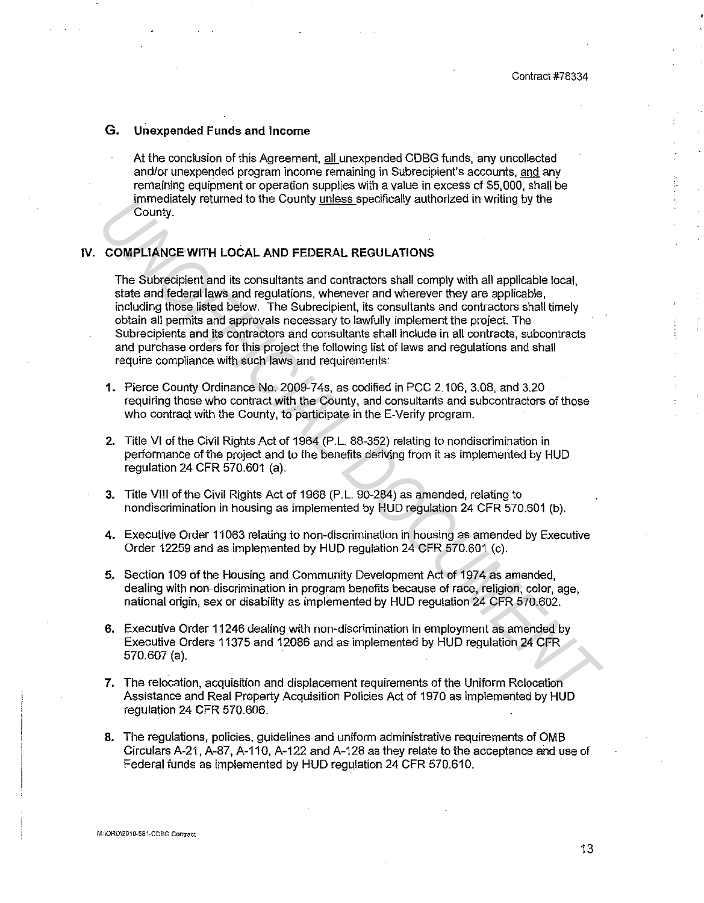# G. Unexpended Funds and Income

At the conclusion of this Agreement, all unexpended CDBG funds, any uncollected and/or unexpended program income remaining in Subrecipient's accounts, and any remaining equipment or operation supplies with a value in excess of \$5,000, shall be immediately returned to the County unless specifically authorized in writing by the County.

# IV. COMPLIANCEWITH LOCAL AND FEDERAL REGULATIONS

The Subrecipient and its consultants and contractors shall comply with all applicable local, state and federal laws and regulations, whenever and wherever they are applicable, including those listed below. The Subrecipient, its consultants and contractors shall timely obtain all permits and approvals necessary to lawfully implement the project. The Subrecipients and its contractors and consultants shall include in all contracts, subcontracts and purchase orders for this project the following list of laws and regulations and shall require compliance with such laws and requirements: Frame and the County <u>uniest</u> spectrically admonstrain of virtual county.<br>
COMPLIANCE WITH LOCAL AND FEDERAL REGULATIONS<br>
The Subreclipliant and its consultants and contractors shall compty with all applicable local,<br>
the

- 1. Pierce County Ordinance No. 2009-74s, as codified in PCC 2.106, 3.08, and 3.20 requiring those who contract with the County, and consultants and subcontractors of those who contract with the County, to participate in the E-Verify program.
- 2 .. Title VI of the Civil Rights Act of 1964 (P.L. 88-352) relating to nondiscrimination in performance of the project and to the benefits deriving from it as implemented by HUD regulation 24 CFR 570.601 (a).
- 3. Title VIII of the Civil Rights Act of 1968 (P.L. 90-284) as amended, relating to nondiscrimination in housing as implemented by HUD regulation 24 CFR 570.601 (b}.
- 4. Executive Order 11063 relating to non-discrimination in housing as amended by Executive Order 12259 and as implemented by HUD regulation 24 CFR 570.601 (c).
- 5. Section 109 of the Housing and Community Development Act of 1974 as amended, dealing with non-discrimination in program benefits because of race, religion, color, age, national origin, sex or disability as implemented by HUD regulation 24 CFR 570.602.
- 6. Executive Order 11246 dealing with non-discrimination in employment as amended by Executive Orders 11375 and 12086 and as implemented by HUD regulation 24 CFR 570.607 (a).
- 7. The relocation, acquisition and displacement requirements of the Uniform Relocation Assistance and Real Property Acquisition Policies Act of 1970 as implemented by HUD regulation 24 CFR 570.606.
- 8. The regulations, policies, guidelines and uniform administrative requirements of OMB Circulars A-21, A-87, A-110, A-122 and A-128 as they relate to the acceptance and use of Federal funds as implemented by HUD regulation 24 CFR 570.610.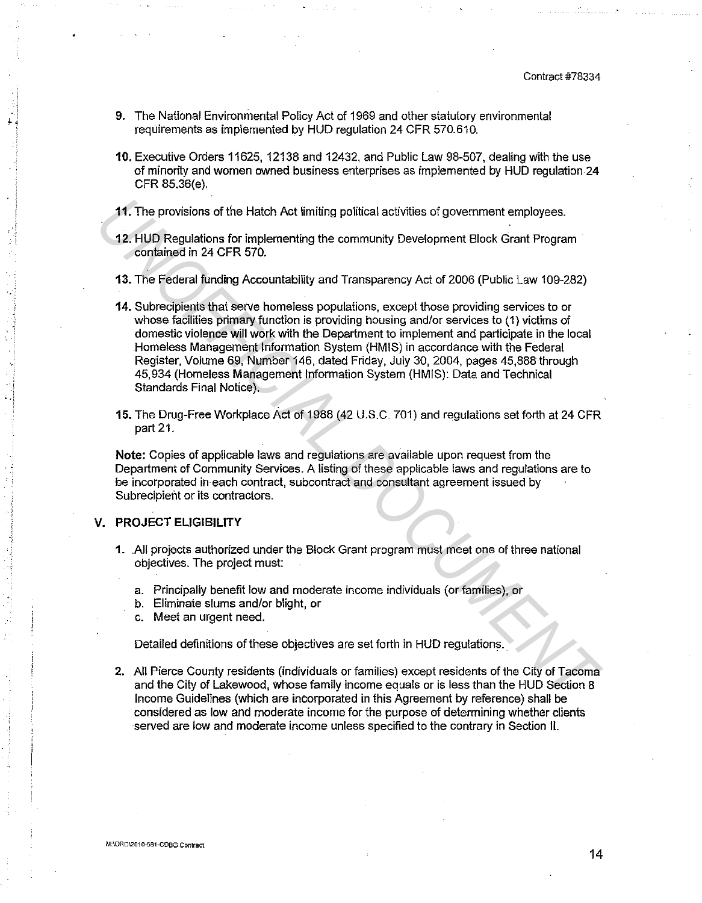- 9. The National Environmental Policy Act of 1969 and other statutory environmental requirements as implemented by HUD regulation 24 CFR 570.610.
- 10. Executive Orders 11625, 12138 and 12432. and Public Law 98-507, dealing with the use of minority and women owned business enterprises as implemented by HUD regulation 24 CFR 85.36{e}.

11. The provisions of the Hatch Act limiting political activities of government employees.

12. HUD Regulations for implementing the community Development Block Grant Program contained in 24 CFR 570.

13. The Federal funding Accountability and Transparency Act of 2006 {Public Law 109-282)

14. Subrecipients that serve homeless populations, except those providing services to or whose facilities primary function is providing housing and/or services to (1) victims of domestic violence will work with the Department to implement and participate in the local Homeless Management Information System {HMIS) in accordance with the Federal Register, Volume 69, Number 146, dated Friday, July 30, 2004, pages 45,888 through 45,934 (Homeless Management Information System (HMIS}: Data and Technical Standards Final Notice). 11. The provisions of the Hatch Act limiting political activities of government employees.<br>
12. HUD Regulations for implementing the community Development Block Grant Program<br>
confisined in 24 CFR 570.<br>
13. The Federal fun

15. The Drug-Free Workplace Act of 1988 (42 U.S.C. 701) and regulations set forth at 24 CFR part21.

Note: Copies of applicable laws and regulations are available upon request from the Department of Community Services. A listing of these applicable laws and regulations are to be incorporated in each contract, subcontract and consultant agreement issued by Subrecipient or its contractors.

# V. PROJECT ELIGIBILITY

- 1. .All projects authorized under the Block Grant program must meet one of three national objectives. The project must:
	- a. Principally benefit low and moderate income individuals (or families}, or
	- b. Eliminate slums and/or blight, or
	- c. Meet an urgent need.

Detailed definitions of these objectives are set forth in HUD regulations.

2. All Pierce County residents {individuals or families} except residents of the City of Tacoma and the City of Lakewood, whose family income equals or is less than the HUD Section 8 Income Guidelines {which are incorporated in this Agreement by reference} shall be considered as low and moderate income for the purpose of determining whether clients served are low and moderate income unless specified to the contrary in Section II.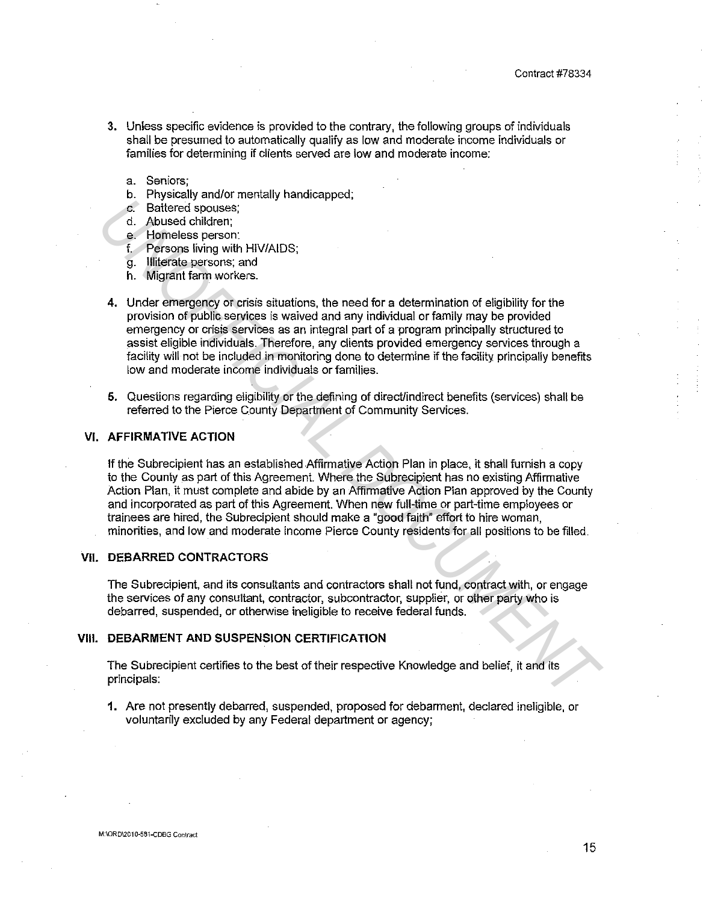- 3. Unless specific evidence is provided to the contrary, the following groups of individuals shall be presumed to automatically qualify as low and moderate income individuals or families for determining if clients served are low and moderate income:
	- a. Seniors;
	- b. Physically and/or mentally handicapped;
	- c. Battered spouses;
	- d. Abused children;
	- e. Homeless person:
	- f. Persons living with HIV/AIDS;
	- g. Illiterate persons; and
	- **h.** Migrant farm workers.
- **4.** Under emergency or crisis situations, the need for a determination of eligibility for the provision of public services is waived and any individual or family may be provided emergency or crisis services as an integral part of a program principally structured to assist eligible individuals. Therefore, any clients provided emergency services through a facility will· not be included in monitoring done to determine if the facility principally benefits low and moderate income individuals or families.
- **5.** Questions regarding eligibility or the defining of direct/indirect benefits (services) shall be referred to the Pierce County Department of Community Services.

### **VI. AFFIRMATIVE ACTION**

If the Subrecipient has an established Affirmative Action Plan in place, it shall furnish a copy to the County as part of this Agreement. Where the Subrecipient has no existing Affirmative Action Plan, it must complete and abide by an Affirmative Action Plan approved by the County and incorporated as part of this Agreement. When new full-time or part-time employees or trainees are hired, the Subrecipient should make a "good faith" effort to hire woman, minorities, and low and moderate income Pierce County residents for all positions to be filled. **C**<br> **Believed spouses;**<br> **d.** Abbred sharenor,<br> **d.** Detects haven the specifical matrix of the security of the system of the system of the Uniter arm workers.<br> **UNOFFICIAL DETERM** INVAIDS;<br> **D.** William fram workers.<br> **U** 

#### **VII. DEBARRED CONTRACTORS**

The Subrecipient, and its consultants and contractors shall not fund, contract with, or engage the services of any consultant, contractor, subcontractor, supplier, or other party who is debarred, suspended, or otherwise ineligible to receive federal funds.

#### **VIII. DEBARMENT AND SUSPENSION CERTIFICATION**

The Subrecipient certifies to the best of their respective Knowledge and belief, it and its principals:

**1.** Are not presently debarred, suspended, proposed for debarment, declared ineligible, or voluntarily excluded by any Federal department or agency;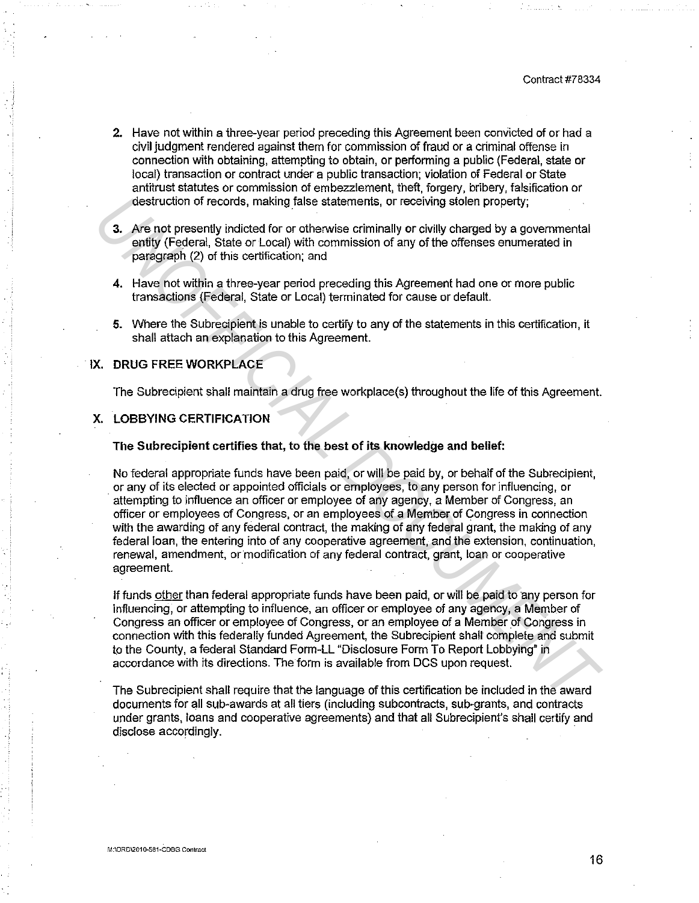- **2.** Have not within a three-year period preceding this Agreement been convicted of or had a civil judgment rendered against them for commission of fraud or a criminal offense in connection with obtaining, attempting to obtain, or performing a public (Federal, state or local} transaction or contract under a public transaction; violation of Federal or State antitrust statutes or commission of embezzlement, theft, forgery, bribery, falsification or destruction of records, making false statements, or receiving stolen property;
- **3.** Are not presently indicted for or otherwise criminally or civilly charged by a governmental entity (Federal, State or Local) with commission of any of the offenses enumerated in paragraph (2) of this certification; and
- **4.** Have not within a three-year period preceding this Agreement had one or more public transactions {Federal, State or Local) terminated for cause or default.
- **5.** Where the Subrecipient is unable to certify to any of the statements in this certification, it shall attach an explanation to this Agreement.

### IX. **DRUG FREE WORKPLACE**

The Subrecipient shall maintain a drug free workplace(s) throughout the life of this Agreement.

# **X. LOBBYING CERTIFICATION**

#### **The Subrecipient certifies that, to the best of its knowledge and belief:**

No federal appropriate funds have been paid, or will be paid by, or behalf of the Subrecipient, or any of its elected or appointed officials or employees, to any person for influencing, or attempting to influence an officer or employee of any agency, a Member of Congress, an officer or employees of Congress, or an employees of a Member of Congress in connection with the awarding of any federal contract, the making of any federal grant, the making of any federal loan, the entering into of any cooperative agreement, and the extension, continuation, renewal, amendment, or modification of any federal contract, grant, loan or cooperative agreement. destruction of records, making false statements, or recoiving stolen property;<br> **3.** A frequently incided for or coltewise criminally or civily charged by a governmental<br>
antify (Federal, State or Locel) with commission of

If funds other than federal appropriate funds have been paid, or will be paid to any person for influencing, or attempting to influence, an officer or employee of any agency, a Member of Congress an officer or employee of Congress, or an employee of a Member of Congress in connection with this federally funded Agreement, the Subrecipient shall complete and submit to the County, a federal Standard Form-LL "Disclosure Form To Report Lobbying" in accordance with its directions. The form is available from DCS upon request.

The Subrecipient shall require that the language of this certification be included in the award documents for all sub-awards at all tiers (including subcontracts, sub-grants, and contracts under grants, loans and cooperative agreements) and that all Subrecipient's shall certify and disclose accordingly.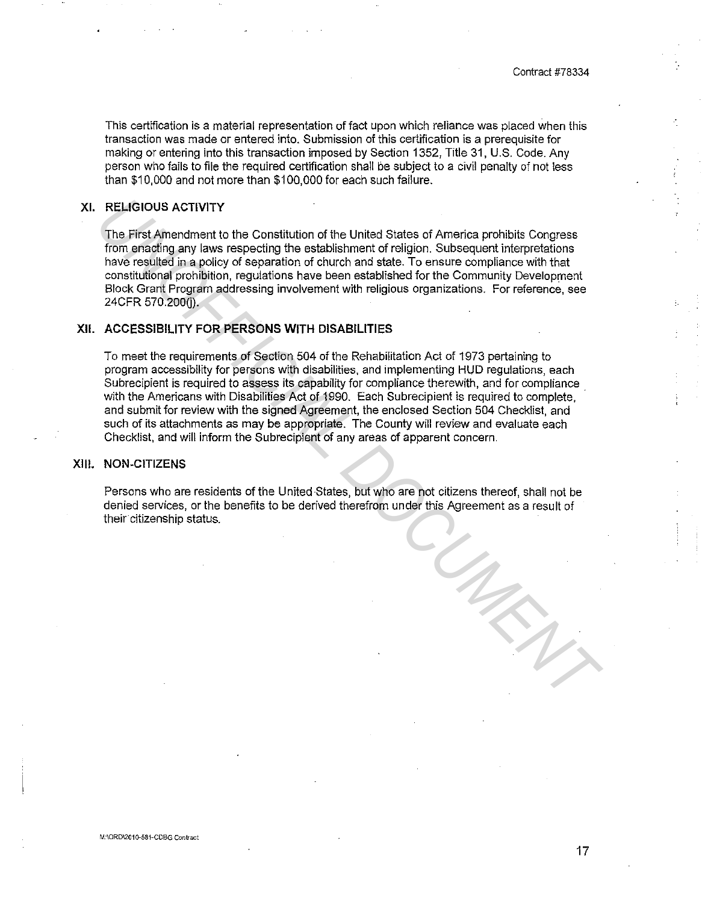This certification is a material representation of fact upon which reliance was placed when this transaction was made or entered into. Submission of this certification is a prerequisite for making or entering into this transaction imposed by Section 1352, Title 31, U.S. Code. Any person who fails to file the required certification shall be subject to a civil penalty of not Jess than \$10,000 and not more than \$100,000 for each such failure.

# **XI. RELIGIOUS ACTIVITY**

The First Amendment to the Constitution of the United States of America prohibits Congress from enacting any laws respecting the establishment of religion. Subsequent interpretations have resulted in a policy of separation of church and state. To ensure compliance with that constitutional prohibition, regulations have been established for the Community Development Block Grant Program addressing involvement with religious organizations. For reference, see 24CFR 570.200(i).

# **XII. ACCESSIBILITY FOR PERSONS WITH DISABILITIES**

To meet the requirements of Section 504 of the Rehabilitation Act of 1973 pertaining to program accessibility for persons with disabilities, and implementing HUD regulations, each Subrecipient is required to assess its capability for compliance therewith, and for compliance with the Americans with Disabilities Act of 1990. Each Subrecipient is required to complete. and submit for review with the signed Agreement, the enclosed Section 504 Checklist, and such of its attachments as may be appropriate. The County will review and evaluate each Checklist, and will inform the Subrecipient of any areas of apparent concern. **RELIGIOUS ACTIVITY**<br> **The First Amondment to the Constitution of the United States of America prohibits Congress**<br>
from entailing any laws respecting the establishment of religion. Subsequent interpretations<br>
from entaili

### **XIII. NON-CITIZENS**

Persons who are residents of the United States, but who are not citizens thereof, shall not be denied services, or the benefits to be derived therefrom under this Agreement as a result of their citizenship status.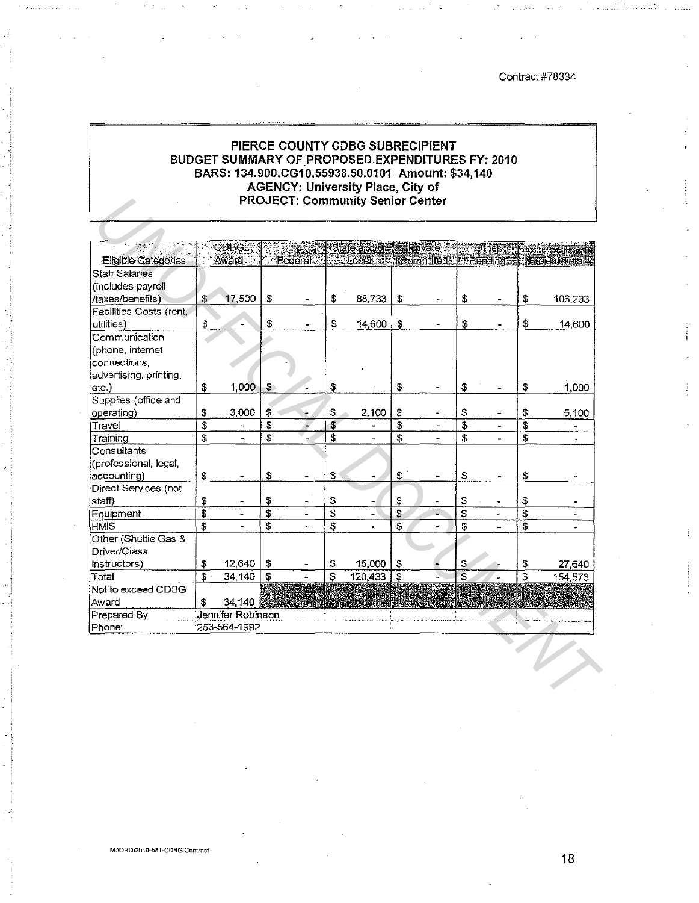# PIERCE COUNTY CDBG SUBRECIPIENT BUDGET SUMMARY OF PROPOSED EXPENDITURES FY: 2010 BARS: 134.900.CG10.55938.50.0101 Amount: \$34,140 AGENCY: University Place, City of PROJECT: Community Senior Center

| <b>PROJECT: Community Senior Center</b>    |                                        |                             |                                        |                       |                                        |                                                                                                 |                         |                          |                                        |    |                                        |         |
|--------------------------------------------|----------------------------------------|-----------------------------|----------------------------------------|-----------------------|----------------------------------------|-------------------------------------------------------------------------------------------------|-------------------------|--------------------------|----------------------------------------|----|----------------------------------------|---------|
|                                            |                                        |                             |                                        |                       |                                        |                                                                                                 |                         |                          |                                        |    |                                        |         |
| <b>MAGAZINE PIE</b><br>Eligible Categories |                                        | <b>CDBG</b><br><b>Award</b> |                                        | Federal               |                                        | State and but the private that the other<br><b>A Local Principled F-Rendrig R Project Fotal</b> |                         |                          |                                        |    |                                        |         |
| <b>Staff Salaries</b>                      |                                        |                             |                                        |                       |                                        |                                                                                                 |                         |                          |                                        |    |                                        |         |
| (includes payroll                          |                                        |                             |                                        |                       |                                        |                                                                                                 |                         |                          |                                        |    |                                        |         |
| /taxes/benefits)                           | \$                                     | 17,500                      | $\pmb{\mathfrak{P}}$                   |                       | \$                                     | 88,733                                                                                          | \$                      |                          | \$                                     |    | \$                                     | 106,233 |
| Facilities Costs (rent,                    |                                        |                             |                                        |                       |                                        |                                                                                                 |                         |                          |                                        |    |                                        |         |
| utilities)                                 | \$                                     |                             | \$                                     |                       | \$                                     | 14,600                                                                                          | \$                      |                          | \$                                     |    | \$                                     | 14,600  |
| Communication                              |                                        |                             |                                        |                       |                                        |                                                                                                 |                         |                          |                                        |    |                                        |         |
| (phone, internet                           |                                        |                             |                                        |                       |                                        |                                                                                                 |                         |                          |                                        |    |                                        |         |
| connections,                               |                                        |                             |                                        |                       |                                        |                                                                                                 |                         |                          |                                        |    |                                        |         |
| advertising, printing,                     |                                        |                             |                                        |                       |                                        |                                                                                                 |                         |                          |                                        |    |                                        |         |
| etc.)                                      | \$                                     | 1,000                       | \$                                     |                       | \$                                     |                                                                                                 | \$                      |                          | \$                                     |    | \$                                     | 1,000   |
| Supplies (office and                       |                                        |                             |                                        |                       |                                        |                                                                                                 |                         |                          |                                        |    |                                        |         |
| operating)                                 | \$                                     | 3,000                       | \$                                     |                       | \$                                     | 2,100                                                                                           | \$                      |                          | \$                                     |    | \$                                     | 5,100   |
| Travel                                     | $\overline{\boldsymbol{\mathfrak{s}}}$ |                             | $\overline{\boldsymbol{\mathfrak{s}}}$ |                       | $\overline{\mathbf{s}}$                |                                                                                                 | 75                      | $\ddot{\phantom{a}}$     | $\overline{\$}$                        |    | $\overline{\boldsymbol{\mathfrak{s}}}$ |         |
| Training                                   | $\overline{\mathbb{S}}$                | u.                          | $\overline{\mathbf{3}}$                |                       | \$                                     |                                                                                                 | $\overline{\$}$         | $\overline{\phantom{a}}$ | $\overline{\$}$                        |    | \$                                     |         |
| Consultants                                |                                        |                             |                                        |                       |                                        |                                                                                                 |                         |                          |                                        |    |                                        |         |
| (professional, legal,                      |                                        |                             |                                        |                       |                                        |                                                                                                 |                         |                          |                                        |    |                                        |         |
| accounting)                                | \$                                     |                             | \$                                     |                       | \$                                     |                                                                                                 | \$                      |                          | \$                                     |    | \$                                     |         |
| Direct Services (not                       |                                        |                             |                                        |                       |                                        |                                                                                                 |                         |                          |                                        |    |                                        |         |
| staff)                                     | \$                                     |                             | \$                                     |                       | \$                                     |                                                                                                 | \$                      |                          | \$                                     |    | \$                                     |         |
| Equipment                                  | \$                                     | $\overline{\phantom{0}}$    |                                        |                       | $\overline{\mathbf{s}}$                |                                                                                                 | \$                      | $\blacksquare$           | $\overline{\boldsymbol{\mathfrak{s}}}$ |    | \$                                     |         |
| <b>HMIS</b>                                | \$                                     | ÷.                          | \$                                     | $\tilde{\phantom{a}}$ | Ş                                      |                                                                                                 | $\overline{\mathbf{3}}$ | $\blacksquare$           | \$                                     | ÷, | \$                                     |         |
| Other (Shuttle Gas &                       |                                        |                             |                                        |                       |                                        |                                                                                                 |                         |                          |                                        |    |                                        |         |
| Driver/Class                               |                                        |                             |                                        |                       |                                        |                                                                                                 |                         |                          |                                        |    |                                        |         |
| Instructors)                               | \$                                     | 12,640                      | \$                                     |                       | \$                                     | 15,000                                                                                          | $\mathbb S$             |                          | \$                                     |    | $\frac{3}{3}$                          | 27,640  |
| Total                                      | $\overline{\mathfrak{s}}$              | 34,140                      | $\overline{\boldsymbol{s}}$            |                       | $\overline{\boldsymbol{\mathfrak{s}}}$ | $\overline{120,433}$ \$                                                                         |                         |                          | Ŧ                                      |    |                                        | 154,573 |
| Not to exceed CDBG                         |                                        |                             |                                        |                       |                                        |                                                                                                 |                         |                          |                                        |    |                                        |         |
| Award                                      | \$                                     | 34,140                      |                                        |                       |                                        |                                                                                                 |                         |                          |                                        |    |                                        |         |
| Prepared By:                               |                                        | Jennifer Robinson           |                                        |                       |                                        |                                                                                                 |                         |                          |                                        |    |                                        |         |
| Phone:                                     |                                        | 253-564-1992                |                                        |                       |                                        |                                                                                                 |                         |                          |                                        |    |                                        |         |
|                                            |                                        |                             |                                        |                       |                                        |                                                                                                 |                         |                          |                                        |    |                                        |         |

18